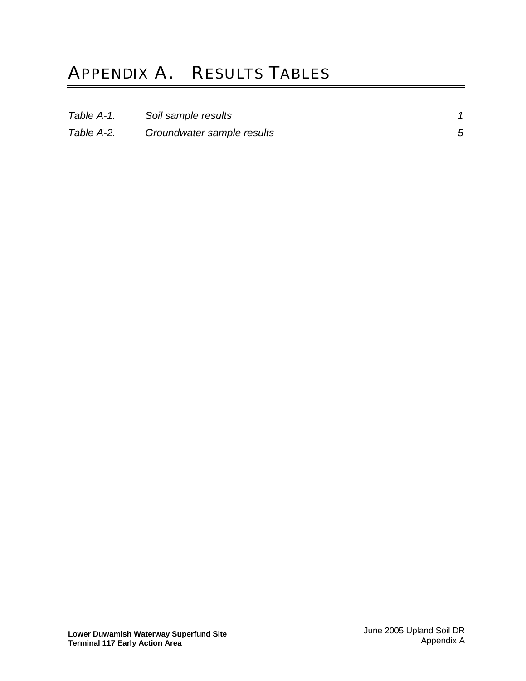## APPENDIX A. RESULTS TABLES

| Table A-1. | Soil sample results        |  |
|------------|----------------------------|--|
| Table A-2. | Groundwater sample results |  |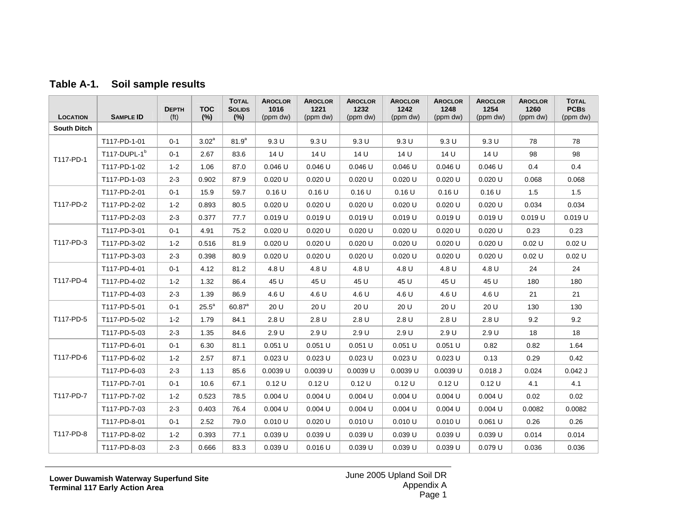| <b>LOCATION</b>    | <b>SAMPLE ID</b>         | <b>DEPTH</b><br>(f <sup>t</sup> ) | <b>TOC</b><br>(%) | <b>TOTAL</b><br><b>SOLIDS</b><br>$(\%)$ | <b>AROCLOR</b><br>1016<br>(ppm dw) | <b>AROCLOR</b><br>1221<br>(ppm dw) | <b>AROCLOR</b><br>1232<br>(ppm dw) | <b>AROCLOR</b><br>1242<br>(ppm dw) | <b>AROCLOR</b><br>1248<br>(ppm dw) | <b>AROCLOR</b><br>1254<br>(ppm dw) | <b>AROCLOR</b><br>1260<br>(ppm dw) | <b>TOTAL</b><br><b>PCBs</b><br>(ppm dw) |
|--------------------|--------------------------|-----------------------------------|-------------------|-----------------------------------------|------------------------------------|------------------------------------|------------------------------------|------------------------------------|------------------------------------|------------------------------------|------------------------------------|-----------------------------------------|
| <b>South Ditch</b> |                          |                                   |                   |                                         |                                    |                                    |                                    |                                    |                                    |                                    |                                    |                                         |
|                    | T117-PD-1-01             | $0 - 1$                           | $3.02^{\circ}$    | $81.9^{a}$                              | 9.3U                               | 9.3U                               | 9.3U                               | 9.3U                               | 9.3U                               | 9.3U                               | 78                                 | 78                                      |
|                    | T117-DUPL-1 <sup>b</sup> | $0 - 1$                           | 2.67              | 83.6                                    | 14 U                               | 14 U                               | 14 U                               | 14 U                               | 14 U                               | 14 U                               | 98                                 | 98                                      |
| T117-PD-1          | T117-PD-1-02             | $1 - 2$                           | 1.06              | 87.0                                    | $0.046$ U                          | $0.046$ U                          | $0.046$ U                          | $0.046$ U                          | $0.046$ U                          | $0.046$ U                          | 0.4                                | 0.4                                     |
|                    | T117-PD-1-03             | $2 - 3$                           | 0.902             | 87.9                                    | $0.020$ U                          | $0.020$ U                          | $0.020$ U                          | $0.020$ U                          | $0.020$ U                          | $0.020$ U                          | 0.068                              | 0.068                                   |
|                    | T117-PD-2-01             | $0 - 1$                           | 15.9              | 59.7                                    | 0.16U                              | 0.16U                              | 0.16U                              | 0.16U                              | 0.16U                              | 0.16U                              | 1.5                                | 1.5                                     |
| T117-PD-2          | T117-PD-2-02             | $1 - 2$                           | 0.893             | 80.5                                    | $0.020$ U                          | $0.020$ U                          | $0.020$ U                          | $0.020$ U                          | $0.020$ U                          | 0.020 U                            | 0.034                              | 0.034                                   |
|                    | T117-PD-2-03             | $2 - 3$                           | 0.377             | 77.7                                    | $0.019$ U                          | 0.019U                             | 0.019U                             | $0.019$ U                          | $0.019$ U                          | 0.019U                             | 0.019U                             | 0.019U                                  |
|                    | T117-PD-3-01             | $0 - 1$                           | 4.91              | 75.2                                    | $0.020$ U                          | $0.020$ U                          | $0.020$ U                          | $0.020$ U                          | $0.020$ U                          | $0.020$ U                          | 0.23                               | 0.23                                    |
| T117-PD-3          | T117-PD-3-02             | $1 - 2$                           | 0.516             | 81.9                                    | $0.020$ U                          | $0.020$ U                          | $0.020$ U                          | $0.020$ U                          | $0.020$ U                          | $0.020$ U                          | 0.02U                              | 0.02 U                                  |
|                    | T117-PD-3-03             | $2 - 3$                           | 0.398             | 80.9                                    | 0.020 U                            | $0.020$ U                          | $0.020$ U                          | 0.020U                             | $0.020$ U                          | 0.020 U                            | 0.02U                              | 0.02 U                                  |
|                    | T117-PD-4-01             | $0 - 1$                           | 4.12              | 81.2                                    | 4.8 U                              | 4.8 U                              | 4.8 U                              | 4.8 U                              | 4.8 U                              | 4.8 U                              | 24                                 | 24                                      |
| T117-PD-4          | T117-PD-4-02             | $1 - 2$                           | 1.32              | 86.4                                    | 45 U                               | 45 U                               | 45 U                               | 45 U                               | 45 U                               | 45 U                               | 180                                | 180                                     |
|                    | T117-PD-4-03             | $2 - 3$                           | 1.39              | 86.9                                    | 4.6 U                              | 4.6 U                              | 4.6 U                              | 4.6 U                              | 4.6 U                              | 4.6 U                              | 21                                 | 21                                      |
|                    | T117-PD-5-01             | $0 - 1$                           | $25.5^a$          | 60.87 <sup>a</sup>                      | 20 U                               | 20 U                               | 20 U                               | 20 U                               | 20 U                               | 20 U                               | 130                                | 130                                     |
| T117-PD-5          | T117-PD-5-02             | $1 - 2$                           | 1.79              | 84.1                                    | 2.8U                               | 2.8U                               | 2.8U                               | 2.8U                               | 2.8U                               | 2.8U                               | 9.2                                | 9.2                                     |
|                    | T117-PD-5-03             | $2 - 3$                           | 1.35              | 84.6                                    | 2.9U                               | 2.9U                               | 2.9U                               | 2.9U                               | 2.9U                               | 2.9U                               | 18                                 | 18                                      |
|                    | T117-PD-6-01             | $0 - 1$                           | 6.30              | 81.1                                    | 0.051 U                            | $0.051$ U                          | $0.051$ U                          | $0.051$ U                          | $0.051$ U                          | 0.82                               | 0.82                               | 1.64                                    |
| T117-PD-6          | T117-PD-6-02             | $1 - 2$                           | 2.57              | 87.1                                    | $0.023$ U                          | $0.023$ U                          | $0.023$ U                          | $0.023$ U                          | $0.023$ U                          | 0.13                               | 0.29                               | 0.42                                    |
|                    | T117-PD-6-03             | $2 - 3$                           | 1.13              | 85.6                                    | 0.0039 U                           | 0.0039 U                           | 0.0039 U                           | 0.0039 U                           | 0.0039 U                           | $0.018$ J                          | 0.024                              | $0.042$ J                               |
|                    | T117-PD-7-01             | $0 - 1$                           | 10.6              | 67.1                                    | 0.12U                              | 0.12U                              | 0.12U                              | 0.12U                              | 0.12U                              | 0.12U                              | 4.1                                | 4.1                                     |
| T117-PD-7          | T117-PD-7-02             | $1 - 2$                           | 0.523             | 78.5                                    | 0.004 U                            | 0.004 U                            | 0.004 U                            | 0.004 U                            | 0.004 U                            | 0.004 U                            | 0.02                               | 0.02                                    |
|                    | T117-PD-7-03             | $2 - 3$                           | 0.403             | 76.4                                    | 0.004 U                            | 0.004 U                            | 0.004 U                            | 0.004 U                            | 0.004 U                            | 0.004 U                            | 0.0082                             | 0.0082                                  |
|                    | T117-PD-8-01             | $0 - 1$                           | 2.52              | 79.0                                    | 0.010 U                            | $0.020$ U                          | 0.010 U                            | 0.010 U                            | $0.010$ U                          | $0.061$ U                          | 0.26                               | 0.26                                    |
| T117-PD-8          | T117-PD-8-02             | $1 - 2$                           | 0.393             | 77.1                                    | 0.039 U                            | 0.039 U                            | $0.039$ U                          | $0.039$ U                          | $0.039$ U                          | 0.039 U                            | 0.014                              | 0.014                                   |
|                    | T117-PD-8-03             | $2 - 3$                           | 0.666             | 83.3                                    | 0.039 U                            | $0.016$ U                          | $0.039$ U                          | $0.039$ U                          | 0.039 U                            | $0.079$ U                          | 0.036                              | 0.036                                   |

## **Table A-1. Soil sample results**

<span id="page-1-0"></span>**Lower Duwamish Waterway Superfund Site Terminal 117 Early Action Area**

June 2005 Upland Soil DR Appendix A Page 1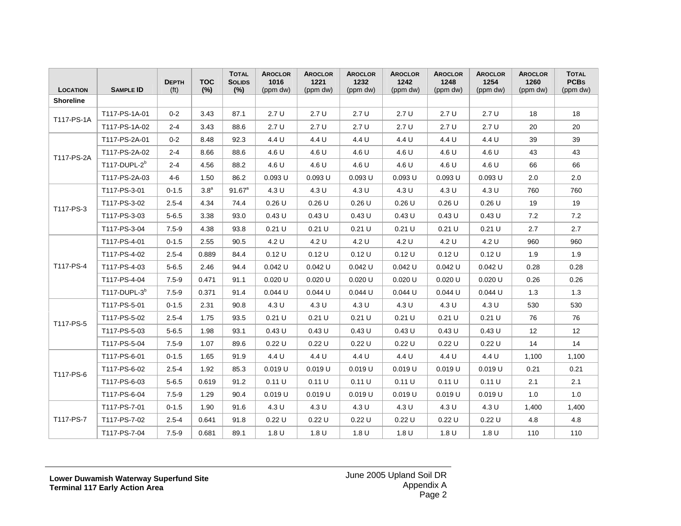| <b>LOCATION</b>  | <b>SAMPLE ID</b> | <b>DEPTH</b><br>(f <sup>t</sup> ) | <b>TOC</b><br>(%) | <b>TOTAL</b><br><b>SOLIDS</b><br>(%) | <b>AROCLOR</b><br>1016<br>(ppm dw) | <b>AROCLOR</b><br>1221<br>(ppm dw) | <b>AROCLOR</b><br>1232<br>(ppm dw) | <b>AROCLOR</b><br>1242<br>(ppm dw) | <b>AROCLOR</b><br>1248<br>(ppm dw) | <b>AROCLOR</b><br>1254<br>(ppm dw) | <b>AROCLOR</b><br>1260<br>(ppm dw) | <b>TOTAL</b><br><b>PCBs</b><br>(ppm dw) |
|------------------|------------------|-----------------------------------|-------------------|--------------------------------------|------------------------------------|------------------------------------|------------------------------------|------------------------------------|------------------------------------|------------------------------------|------------------------------------|-----------------------------------------|
| <b>Shoreline</b> |                  |                                   |                   |                                      |                                    |                                    |                                    |                                    |                                    |                                    |                                    |                                         |
| T117-PS-1A       | T117-PS-1A-01    | $0 - 2$                           | 3.43              | 87.1                                 | 2.7U                               | 2.7U                               | 2.7U                               | 2.7U                               | 2.7U                               | 2.7U                               | 18                                 | 18                                      |
|                  | T117-PS-1A-02    | $2 - 4$                           | 3.43              | 88.6                                 | 2.7U                               | 2.7U                               | 2.7U                               | 2.7U                               | 2.7U                               | 2.7U                               | 20                                 | 20                                      |
| T117-PS-2A       | T117-PS-2A-01    | $0 - 2$                           | 8.48              | 92.3                                 | 4.4 U                              | 4.4 U                              | 4.4 U                              | 4.4 U                              | 4.4 U                              | 4.4 U                              | 39                                 | 39                                      |
|                  | T117-PS-2A-02    | $2 - 4$                           | 8.66              | 88.6                                 | 4.6 U                              | 4.6 U                              | 4.6 U                              | 4.6 U                              | 4.6 U                              | 4.6 U                              | 43                                 | 43                                      |
|                  | $T117-DUPL-2b$   | $2 - 4$                           | 4.56              | 88.2                                 | 4.6 U                              | 4.6 U                              | 4.6 U                              | 4.6 U                              | 4.6 U                              | 4.6 U                              | 66                                 | 66                                      |
|                  | T117-PS-2A-03    | $4 - 6$                           | 1.50              | 86.2                                 | $0.093$ U                          | $0.093$ U                          | $0.093$ U                          | $0.093$ U                          | $0.093$ U                          | $0.093$ U                          | 2.0                                | 2.0                                     |
|                  | T117-PS-3-01     | $0 - 1.5$                         | 3.8 <sup>a</sup>  | 91.67 <sup>a</sup>                   | 4.3 U                              | 4.3 U                              | 4.3 U                              | 4.3 U                              | 4.3 U                              | 4.3 U                              | 760                                | 760                                     |
| T117-PS-3        | T117-PS-3-02     | $2.5 - 4$                         | 4.34              | 74.4                                 | 0.26U                              | 0.26U                              | 0.26U                              | 0.26U                              | 0.26U                              | 0.26U                              | 19                                 | 19                                      |
|                  | T117-PS-3-03     | $5 - 6.5$                         | 3.38              | 93.0                                 | 0.43U                              | 0.43U                              | 0.43U                              | 0.43U                              | 0.43U                              | 0.43U                              | 7.2                                | 7.2                                     |
|                  | T117-PS-3-04     | $7.5 - 9$                         | 4.38              | 93.8                                 | $0.21$ U                           | 0.21 U                             | $0.21$ U                           | $0.21$ U                           | 0.21 U                             | 0.21 U                             | 2.7                                | 2.7                                     |
|                  | T117-PS-4-01     | $0 - 1.5$                         | 2.55              | 90.5                                 | 4.2 U                              | 4.2 U                              | 4.2 U                              | 4.2 U                              | 4.2 U                              | 4.2 U                              | 960                                | 960                                     |
|                  | T117-PS-4-02     | $2.5 - 4$                         | 0.889             | 84.4                                 | 0.12U                              | 0.12U                              | 0.12U                              | 0.12U                              | 0.12U                              | 0.12 U                             | 1.9                                | 1.9                                     |
| T117-PS-4        | T117-PS-4-03     | $5 - 6.5$                         | 2.46              | 94.4                                 | $0.042$ U                          | $0.042$ U                          | $0.042$ U                          | $0.042$ U                          | $0.042$ U                          | $0.042$ U                          | 0.28                               | 0.28                                    |
|                  | T117-PS-4-04     | $7.5 - 9$                         | 0.471             | 91.1                                 | $0.020$ U                          | $0.020$ U                          | $0.020$ U                          | $0.020$ U                          | $0.020$ U                          | $0.020$ U                          | 0.26                               | 0.26                                    |
|                  | $T117-DUPL-3b$   | $7.5 - 9$                         | 0.371             | 91.4                                 | $0.044$ U                          | 0.044 U                            | $0.044$ U                          | $0.044$ U                          | $0.044$ U                          | $0.044$ U                          | 1.3                                | 1.3                                     |
|                  | T117-PS-5-01     | $0 - 1.5$                         | 2.31              | 90.8                                 | 4.3 U                              | 4.3 U                              | 4.3 U                              | 4.3 U                              | 4.3 U                              | 4.3 U                              | 530                                | 530                                     |
| T117-PS-5        | T117-PS-5-02     | $2.5 - 4$                         | 1.75              | 93.5                                 | $0.21$ U                           | 0.21 U                             | $0.21$ U                           | $0.21$ U                           | $0.21$ U                           | 0.21 U                             | 76                                 | 76                                      |
|                  | T117-PS-5-03     | $5 - 6.5$                         | 1.98              | 93.1                                 | 0.43U                              | 0.43U                              | 0.43U                              | 0.43U                              | 0.43U                              | 0.43U                              | 12                                 | 12                                      |
|                  | T117-PS-5-04     | $7.5 - 9$                         | 1.07              | 89.6                                 | 0.22U                              | 0.22U                              | 0.22U                              | 0.22U                              | 0.22U                              | 0.22U                              | 14                                 | 14                                      |
|                  | T117-PS-6-01     | $0 - 1.5$                         | 1.65              | 91.9                                 | 4.4 U                              | 4.4 U                              | 4.4 U                              | 4.4 U                              | 4.4 U                              | 4.4 U                              | 1,100                              | 1,100                                   |
| T117-PS-6        | T117-PS-6-02     | $2.5 - 4$                         | 1.92              | 85.3                                 | 0.019U                             | 0.019 U                            | $0.019$ U                          | 0.019 U                            | 0.019 U                            | 0.019 U                            | 0.21                               | 0.21                                    |
|                  | T117-PS-6-03     | $5 - 6.5$                         | 0.619             | 91.2                                 | 0.11 U                             | 0.11 U                             | 0.11 U                             | 0.11 U                             | 0.11 U                             | 0.11 U                             | 2.1                                | 2.1                                     |
|                  | T117-PS-6-04     | $7.5 - 9$                         | 1.29              | 90.4                                 | 0.019 U                            | 0.019U                             | 0.019 U                            | $0.019$ U                          | $0.019$ U                          | $0.019$ U                          | 1.0                                | 1.0                                     |
|                  | T117-PS-7-01     | $0 - 1.5$                         | 1.90              | 91.6                                 | 4.3 U                              | 4.3 U                              | 4.3 U                              | 4.3 U                              | 4.3 U                              | 4.3 U                              | 1,400                              | 1,400                                   |
| T117-PS-7        | T117-PS-7-02     | $2.5 - 4$                         | 0.641             | 91.8                                 | 0.22U                              | 0.22U                              | 0.22U                              | 0.22U                              | 0.22U                              | 0.22U                              | 4.8                                | 4.8                                     |
|                  | T117-PS-7-04     | $7.5 - 9$                         | 0.681             | 89.1                                 | 1.8 U                              | 1.8 U                              | 1.8 U                              | 1.8 U                              | 1.8 U                              | 1.8 U                              | 110                                | 110                                     |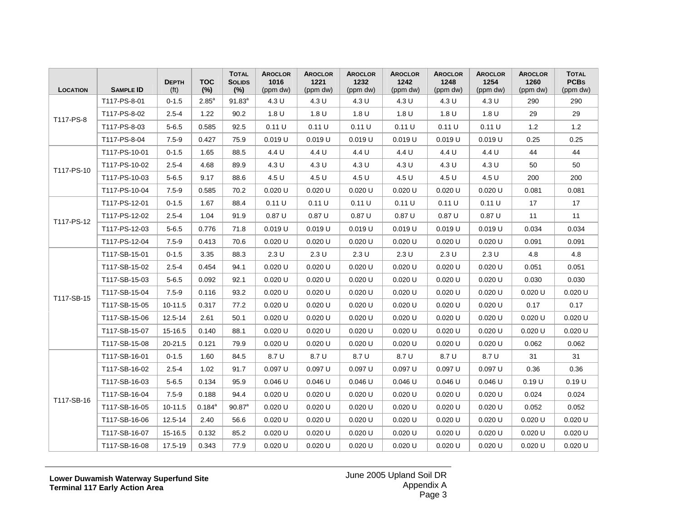| <b>LOCATION</b> | <b>SAMPLE ID</b> | <b>DEPTH</b><br>(f <sup>t</sup> ) | <b>TOC</b><br>(%) | <b>TOTAL</b><br><b>SOLIDS</b><br>(%) | <b>AROCLOR</b><br>1016<br>(ppm dw) | <b>AROCLOR</b><br>1221<br>(ppm dw) | <b>AROCLOR</b><br>1232<br>(ppm dw) | <b>AROCLOR</b><br>1242<br>(ppm dw) | <b>AROCLOR</b><br>1248<br>(ppm dw) | <b>AROCLOR</b><br>1254<br>(ppm dw) | <b>AROCLOR</b><br>1260<br>(ppm dw) | <b>TOTAL</b><br><b>PCBs</b><br>(ppm dw) |
|-----------------|------------------|-----------------------------------|-------------------|--------------------------------------|------------------------------------|------------------------------------|------------------------------------|------------------------------------|------------------------------------|------------------------------------|------------------------------------|-----------------------------------------|
| T117-PS-8       | T117-PS-8-01     | $0 - 1.5$                         | $2.85^{\circ}$    | $91.83^{a}$                          | 4.3 U                              | 4.3 U                              | 4.3 U                              | 4.3 U                              | 4.3 U                              | 4.3 U                              | 290                                | 290                                     |
|                 | T117-PS-8-02     | $2.5 - 4$                         | 1.22              | 90.2                                 | 1.8 U                              | 1.8 U                              | 1.8 U                              | 1.8 U                              | 1.8 U                              | 1.8 U                              | 29                                 | 29                                      |
|                 | T117-PS-8-03     | $5 - 6.5$                         | 0.585             | 92.5                                 | 0.11 U                             | 0.11 U                             | 0.11 U                             | 0.11 U                             | 0.11 U                             | 0.11 U                             | 1.2                                | 1.2                                     |
|                 | T117-PS-8-04     | $7.5 - 9$                         | 0.427             | 75.9                                 | 0.019U                             | $0.019$ U                          | $0.019$ U                          | $0.019$ U                          | $0.019$ U                          | $0.019$ U                          | 0.25                               | 0.25                                    |
|                 | T117-PS-10-01    | $0 - 1.5$                         | 1.65              | 88.5                                 | 4.4 U                              | 4.4 U                              | 4.4 U                              | 4.4 U                              | 4.4 U                              | 4.4 U                              | 44                                 | 44                                      |
| T117-PS-10      | T117-PS-10-02    | $2.5 - 4$                         | 4.68              | 89.9                                 | 4.3 U                              | 4.3 U                              | 4.3 U                              | 4.3 U                              | 4.3 U                              | 4.3 U                              | 50                                 | 50                                      |
|                 | T117-PS-10-03    | $5 - 6.5$                         | 9.17              | 88.6                                 | 4.5 U                              | 4.5 U                              | 4.5 U                              | 4.5 U                              | 4.5 U                              | 4.5 U                              | 200                                | 200                                     |
|                 | T117-PS-10-04    | $7.5 - 9$                         | 0.585             | 70.2                                 | $0.020$ U                          | 0.020 U                            | $0.020$ U                          | $0.020$ U                          | 0.020 U                            | 0.020 U                            | 0.081                              | 0.081                                   |
|                 | T117-PS-12-01    | $0 - 1.5$                         | 1.67              | 88.4                                 | 0.11 U                             | 0.11 U                             | 0.11 U                             | 0.11 U                             | 0.11 U                             | 0.11 U                             | 17                                 | 17                                      |
| T117-PS-12      | T117-PS-12-02    | $2.5 - 4$                         | 1.04              | 91.9                                 | 0.87U                              | 0.87U                              | 0.87U                              | 0.87U                              | 0.87U                              | 0.87U                              | 11                                 | 11                                      |
|                 | T117-PS-12-03    | $5 - 6.5$                         | 0.776             | 71.8                                 | 0.019U                             | 0.019 U                            | 0.019 U                            | $0.019$ U                          | 0.019 U                            | 0.019 U                            | 0.034                              | 0.034                                   |
|                 | T117-PS-12-04    | $7.5 - 9$                         | 0.413             | 70.6                                 | $0.020$ U                          | 0.020 U                            | $0.020$ U                          | $0.020$ U                          | 0.020 U                            | 0.020 U                            | 0.091                              | 0.091                                   |
|                 | T117-SB-15-01    | $0 - 1.5$                         | 3.35              | 88.3                                 | 2.3U                               | 2.3U                               | 2.3U                               | 2.3U                               | 2.3U                               | 2.3U                               | 4.8                                | 4.8                                     |
|                 | T117-SB-15-02    | $2.5 - 4$                         | 0.454             | 94.1                                 | 0.020 U                            | 0.020 U                            | 0.020 U                            | 0.020 U                            | 0.020 U                            | 0.020 U                            | 0.051                              | 0.051                                   |
|                 | T117-SB-15-03    | $5 - 6.5$                         | 0.092             | 92.1                                 | $0.020$ U                          | $0.020$ U                          | $0.020$ U                          | $0.020$ U                          | 0.020 U                            | $0.020$ U                          | 0.030                              | 0.030                                   |
| T117-SB-15      | T117-SB-15-04    | $7.5 - 9$                         | 0.116             | 93.2                                 | $0.020$ U                          | $0.020$ U                          | $0.020$ U                          | $0.020$ U                          | 0.020 U                            | 0.020 U                            | 0.020 U                            | 0.020 U                                 |
|                 | T117-SB-15-05    | 10-11.5                           | 0.317             | 77.2                                 | 0.020 U                            | 0.020 U                            | 0.020 U                            | 0.020 U                            | 0.020 U                            | 0.020 U                            | 0.17                               | 0.17                                    |
|                 | T117-SB-15-06    | 12.5-14                           | 2.61              | 50.1                                 | 0.020 U                            | $0.020$ U                          | $0.020$ U                          | 0.020 U                            | $0.020$ U                          | 0.020 U                            | $0.020$ U                          | $0.020$ U                               |
|                 | T117-SB-15-07    | 15-16.5                           | 0.140             | 88.1                                 | $0.020$ U                          | $0.020$ U                          | $0.020$ U                          | $0.020$ U                          | $0.020$ U                          | 0.020 U                            | 0.020 U                            | 0.020 U                                 |
|                 | T117-SB-15-08    | 20-21.5                           | 0.121             | 79.9                                 | $0.020$ U                          | $0.020$ U                          | $0.020$ U                          | $0.020$ U                          | $0.020$ U                          | $0.020$ U                          | 0.062                              | 0.062                                   |
|                 | T117-SB-16-01    | $0 - 1.5$                         | 1.60              | 84.5                                 | 8.7 U                              | 8.7 U                              | 8.7 U                              | 8.7 U                              | 8.7 U                              | 8.7 U                              | 31                                 | 31                                      |
|                 | T117-SB-16-02    | $2.5 - 4$                         | 1.02              | 91.7                                 | 0.097 U                            | 0.097 U                            | 0.097 U                            | 0.097 U                            | 0.097 U                            | 0.097 U                            | 0.36                               | 0.36                                    |
|                 | T117-SB-16-03    | $5 - 6.5$                         | 0.134             | 95.9                                 | $0.046$ U                          | $0.046$ U                          | $0.046$ U                          | 0.046 U                            | $0.046$ U                          | $0.046$ U                          | 0.19U                              | 0.19 U                                  |
| T117-SB-16      | T117-SB-16-04    | $7.5 - 9$                         | 0.188             | 94.4                                 | $0.020$ U                          | $0.020$ U                          | $0.020$ U                          | $0.020$ U                          | $0.020$ U                          | $0.020$ U                          | 0.024                              | 0.024                                   |
|                 | T117-SB-16-05    | 10-11.5                           | $0.184^{a}$       | $90.87^{\circ}$                      | 0.020 U                            | $0.020$ U                          | $0.020$ U                          | 0.020 U                            | $0.020$ U                          | 0.020 U                            | 0.052                              | 0.052                                   |
|                 | T117-SB-16-06    | 12.5-14                           | 2.40              | 56.6                                 | 0.020 U                            | $0.020$ U                          | $0.020$ U                          | $0.020$ U                          | $0.020$ U                          | $0.020$ U                          | $0.020$ U                          | 0.020 U                                 |
|                 | T117-SB-16-07    | 15-16.5                           | 0.132             | 85.2                                 | $0.020$ U                          | $0.020$ U                          | $0.020$ U                          | $0.020$ U                          | $0.020$ U                          | $0.020$ U                          | $0.020$ U                          | $0.020$ U                               |
|                 | T117-SB-16-08    | 17.5-19                           | 0.343             | 77.9                                 | 0.020 U                            | $0.020$ U                          | 0.020 U                            | 0.020 U                            | $0.020$ U                          | 0.020 U                            | $0.020$ U                          | $0.020$ U                               |

**Lower Duwamish Waterway Superfund Site Terminal 117 Early Action Area**

June 2005 Upland Soil DR Appendix A Page 3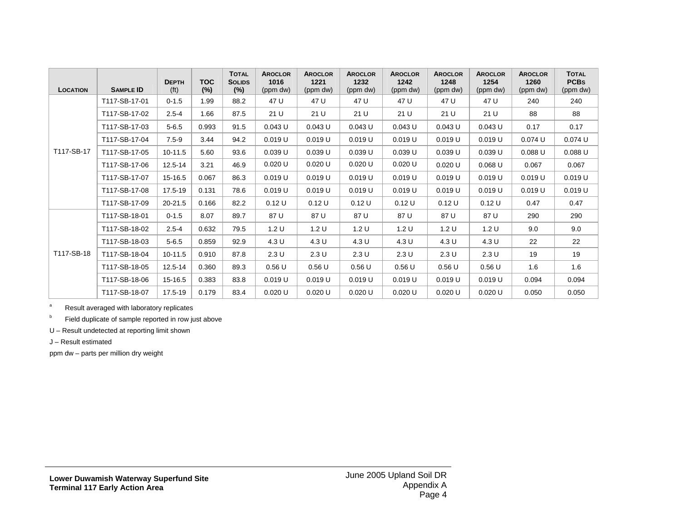| <b>LOCATION</b> | <b>SAMPLE ID</b> | <b>DEPTH</b><br>(f <sub>t</sub> ) | <b>TOC</b><br>$(\%)$ | <b>TOTAL</b><br><b>SOLIDS</b><br>$(\%)$ | <b>AROCLOR</b><br>1016<br>(ppm dw) | <b>AROCLOR</b><br>1221<br>(ppm dw) | <b>AROCLOR</b><br>1232<br>(ppm dw) | <b>AROCLOR</b><br>1242<br>(ppm dw) | <b>AROCLOR</b><br>1248<br>(ppm dw) | <b>AROCLOR</b><br>1254<br>(ppm dw) | <b>AROCLOR</b><br>1260<br>(ppm dw) | <b>TOTAL</b><br><b>PCBS</b><br>(ppm dw) |
|-----------------|------------------|-----------------------------------|----------------------|-----------------------------------------|------------------------------------|------------------------------------|------------------------------------|------------------------------------|------------------------------------|------------------------------------|------------------------------------|-----------------------------------------|
|                 | T117-SB-17-01    | $0 - 1.5$                         | 1.99                 | 88.2                                    | 47 U                               | 47 U                               | 47 U                               | 47 U                               | 47 U                               | 47 U                               | 240                                | 240                                     |
|                 | T117-SB-17-02    | $2.5 - 4$                         | 1.66                 | 87.5                                    | 21 U                               | 21 U                               | 21 U                               | 21 U                               | 21 U                               | 21 U                               | 88                                 | 88                                      |
|                 | T117-SB-17-03    | $5 - 6.5$                         | 0.993                | 91.5                                    | $0.043$ U                          | $0.043$ U                          | $0.043$ U                          | $0.043$ U                          | $0.043$ U                          | $0.043$ U                          | 0.17                               | 0.17                                    |
|                 | T117-SB-17-04    | $7.5 - 9$                         | 3.44                 | 94.2                                    | 0.019 U                            | 0.019U                             | 0.019 U                            | 0.019U                             | 0.019 U                            | $0.019$ U                          | 0.074 U                            | $0.074$ U                               |
| T117-SB-17      | T117-SB-17-05    | 10-11.5                           | 5.60                 | 93.6                                    | 0.039U                             | $0.039$ U                          | 0.039 U                            | 0.039 U                            | 0.039 U                            | 0.039 U                            | $0.088$ U                          | $0.088$ U                               |
|                 | T117-SB-17-06    | 12.5-14                           | 3.21                 | 46.9                                    | 0.020 U                            | 0.020 U                            | 0.020 U                            | 0.020 U                            | $0.020$ U                          | $0.068$ U                          | 0.067                              | 0.067                                   |
|                 | T117-SB-17-07    | 15-16.5                           | 0.067                | 86.3                                    | 0.019 U                            | $0.019$ U                          | 0.019 U                            | 0.019U                             | 0.019 U                            | $0.019$ U                          | 0.019 U                            | 0.019U                                  |
|                 | T117-SB-17-08    | 17.5-19                           | 0.131                | 78.6                                    | 0.019 U                            | 0.019 U                            | 0.019 U                            | 0.019 U                            | 0.019 U                            | $0.019$ U                          | 0.019 U                            | 0.019U                                  |
|                 | T117-SB-17-09    | 20-21.5                           | 0.166                | 82.2                                    | 0.12U                              | 0.12 U                             | 0.12U                              | 0.12U                              | 0.12 U                             | 0.12U                              | 0.47                               | 0.47                                    |
|                 | T117-SB-18-01    | $0 - 1.5$                         | 8.07                 | 89.7                                    | 87 U                               | 87 U                               | 87 U                               | 87 U                               | 87 U                               | 87 U                               | 290                                | 290                                     |
|                 | T117-SB-18-02    | $2.5 - 4$                         | 0.632                | 79.5                                    | 1.2 U                              | 1.2 U                              | 1.2 U                              | 1.2 U                              | 1.2 U                              | 1.2 U                              | 9.0                                | 9.0                                     |
|                 | T117-SB-18-03    | $5 - 6.5$                         | 0.859                | 92.9                                    | 4.3 U                              | 4.3 U                              | 4.3 U                              | 4.3 U                              | 4.3 U                              | 4.3 U                              | 22                                 | 22                                      |
| T117-SB-18      | T117-SB-18-04    | 10-11.5                           | 0.910                | 87.8                                    | 2.3U                               | 2.3U                               | 2.3U                               | 2.3U                               | 2.3U                               | 2.3U                               | 19                                 | 19                                      |
|                 | T117-SB-18-05    | 12.5-14                           | 0.360                | 89.3                                    | 0.56U                              | 0.56U                              | 0.56U                              | 0.56U                              | 0.56U                              | 0.56U                              | 1.6                                | 1.6                                     |
|                 | T117-SB-18-06    | 15-16.5                           | 0.383                | 83.8                                    | 0.019 U                            | 0.019 U                            | 0.019 U                            | 0.019 U                            | 0.019 U                            | 0.019 U                            | 0.094                              | 0.094                                   |
|                 | T117-SB-18-07    | 17.5-19                           | 0.179                | 83.4                                    | 0.020 U                            | 0.020 U                            | $0.020$ U                          | 0.020 U                            | 0.020 U                            | 0.020 U                            | 0.050                              | 0.050                                   |

a Result averaged with laboratory replicates

**b** Field duplicate of sample reported in row just above

U – Result undetected at reporting limit shown

J – Result estimated

ppm dw – parts per million dry weight